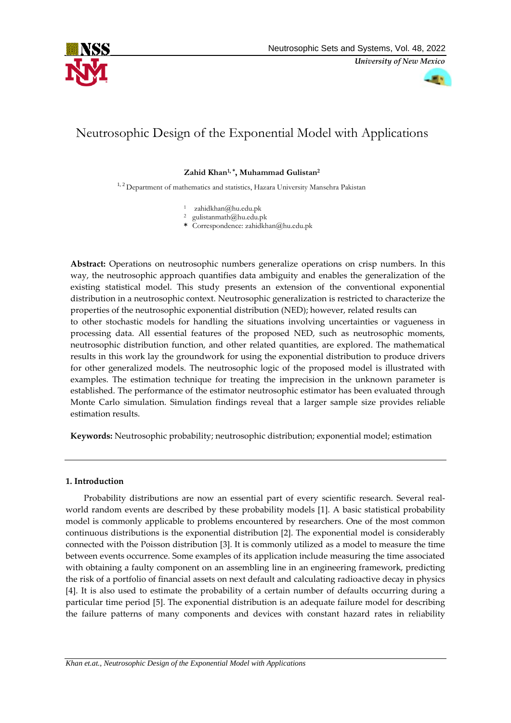

*University of New Mexico*

# Neutrosophic Design of the Exponential Model with Applications

# **Zahid Khan1, \*, Muhammad Gulistan2**

<sup>1, 2</sup> Department of mathematics and statistics, Hazara University Mansehra Pakistan

- <sup>1</sup> zahidkhan@hu.edu.pk
- <sup>2</sup> gulistanmath@hu.edu.pk
- **\*** Correspondence: zahidkhan@hu.edu.pk

**Abstract:** Operations on neutrosophic numbers generalize operations on crisp numbers. In this way, the neutrosophic approach quantifies data ambiguity and enables the generalization of the existing statistical model. This study presents an extension of the conventional exponential distribution in a neutrosophic context. Neutrosophic generalization is restricted to characterize the properties of the neutrosophic exponential distribution (NED); however, related results can to other stochastic models for handling the situations involving uncertainties or vagueness in processing data. All essential features of the proposed NED, such as neutrosophic moments, neutrosophic distribution function, and other related quantities, are explored. The mathematical results in this work lay the groundwork for using the exponential distribution to produce drivers for other generalized models. The neutrosophic logic of the proposed model is illustrated with examples. The estimation technique for treating the imprecision in the unknown parameter is established. The performance of the estimator neutrosophic estimator has been evaluated through Monte Carlo simulation. Simulation findings reveal that a larger sample size provides reliable estimation results.

**Keywords:** Neutrosophic probability; neutrosophic distribution; exponential model; estimation

#### **1. Introduction**

Probability distributions are now an essential part of every scientific research. Several realworld random events are described by these probability models [1]. A basic statistical probability model is commonly applicable to problems encountered by researchers. One of the most common continuous distributions is the exponential distribution [2]. The exponential model is considerably connected with the Poisson distribution [3]. It is commonly utilized as a model to measure the time between events occurrence. Some examples of its application include measuring the time associated with obtaining a faulty component on an assembling line in an engineering framework, predicting the risk of a portfolio of financial assets on next default and calculating radioactive decay in physics [4]. It is also used to estimate the probability of a certain number of defaults occurring during a particular time period [5]. The exponential distribution is an adequate failure model for describing the failure patterns of many components and devices with constant hazard rates in reliability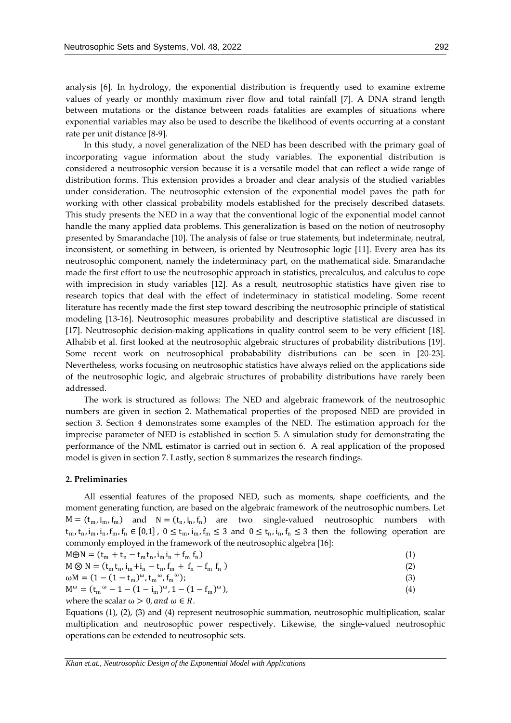analysis [6]. In hydrology, the exponential distribution is frequently used to examine extreme values of yearly or monthly maximum river flow and total rainfall [7]. A DNA strand length between mutations or the distance between roads fatalities are examples of situations where exponential variables may also be used to describe the likelihood of events occurring at a constant rate per unit distance [8-9].

In this study, a novel generalization of the NED has been described with the primary goal of incorporating vague information about the study variables. The exponential distribution is considered a neutrosophic version because it is a versatile model that can reflect a wide range of distribution forms. This extension provides a broader and clear analysis of the studied variables under consideration. The neutrosophic extension of the exponential model paves the path for working with other classical probability models established for the precisely described datasets. This study presents the NED in a way that the conventional logic of the exponential model cannot handle the many applied data problems. This generalization is based on the notion of neutrosophy presented by Smarandache [10]. The analysis of false or true statements, but indeterminate, neutral, inconsistent, or something in between, is oriented by Neutrosophic logic [11]. Every area has its neutrosophic component, namely the indeterminacy part, on the mathematical side. Smarandache made the first effort to use the neutrosophic approach in statistics, precalculus, and calculus to cope with imprecision in study variables [12]. As a result, neutrosophic statistics have given rise to research topics that deal with the effect of indeterminacy in statistical modeling. Some recent literature has recently made the first step toward describing the neutrosophic principle of statistical modeling [13-16]. Neutrosophic measures probability and descriptive statistical are discussed in [17]. Neutrosophic decision-making applications in quality control seem to be very efficient [18]. Alhabib et al. first looked at the neutrosophic algebraic structures of probability distributions [19]. Some recent work on neutrosophical probabability distributions can be seen in [20-23]. Nevertheless, works focusing on neutrosophic statistics have always relied on the applications side of the neutrosophic logic, and algebraic structures of probability distributions have rarely been addressed.

The work is structured as follows: The NED and algebraic framework of the neutrosophic numbers are given in section 2. Mathematical properties of the proposed NED are provided in section 3. Section 4 demonstrates some examples of the NED. The estimation approach for the imprecise parameter of NED is established in section 5. A simulation study for demonstrating the performance of the NML estimator is carried out in section 6. A real application of the proposed model is given in section 7. Lastly, section 8 summarizes the research findings.

#### **2. Preliminaries**

All essential features of the proposed NED, such as moments, shape coefficients, and the moment generating function, are based on the algebraic framework of the neutrosophic numbers. Let  $M = (t_m, i_m, f_m)$  and  $N = (t_n, i_n, f_n)$  are two single-valued neutrosophic numbers with  $t_m, t_n, i_m, i_n, f_m \in [0,1]$ ,  $0 \le t_m, i_m, f_m \le 3$  and  $0 \le t_n, i_n, f_n \le 3$  then the following operation are commonly employed in the framework of the neutrosophic algebra [16]:

$$
M\oplus N = (t_m + t_n - t_m t_n, i_m i_n + f_m f_n)
$$
\n
$$
M \oplus N = (t_m + t_n - t_m t_n, i_m i_n + f_m f_n)
$$
\n
$$
(1)
$$

$$
M \otimes N = (t_m t_n, i_m + i_n - t_n, f_m + f_n - f_m f_n)
$$
  
\n
$$
\omega M = (1 - (1 - t_m)^{\omega}, t_m {\omega}, f_m {\omega});
$$
\n(2)

$$
M^{\omega} = (t_m^{\omega} - 1 - (1 - i_m)^{\omega}, 1 - (1 - f_m)^{\omega}),
$$
  
where the scalar  $\omega > 0$ , and  $\omega \in R$ . (4)

Equations (1), (2), (3) and (4) represent neutrosophic summation, neutrosophic multiplication, scalar multiplication and neutrosophic power respectively. Likewise, the single-valued neutrosophic operations can be extended to neutrosophic sets.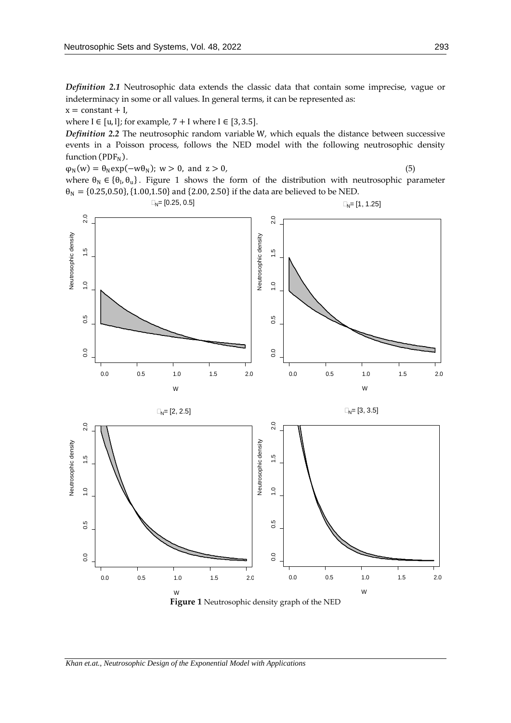*Definition 2.1* Neutrosophic data extends the classic data that contain some imprecise, vague or indeterminacy in some or all values. In general terms, it can be represented as:

 $x = constant + I$ ,

where  $I \in [u, 1]$ ; for example,  $7 + I$  where  $I \in [3, 3.5]$ .

*Definition 2.2* The neutrosophic random variable W, which equals the distance between successive events in a Poisson process, follows the NED model with the following neutrosophic density function ( $PDF<sub>N</sub>$ ).

 $\varphi_N(w) = \theta_N \exp(-w\theta_N); w > 0, \text{ and } z > 0,$  (5)

 $\Box_{N}=[0.25, 0.5]$ 

where  $\theta_N \in {\theta_1, \theta_0}$ . Figure 1 shows the form of the distribution with neutrosophic parameter  $\theta_N = \{0.25, 0.50\}, \{1.00, 1.50\}$  and  $\{2.00, 2.50\}$  if the data are believed to be NED.



**Figure 1** Neutrosophic density graph of the NED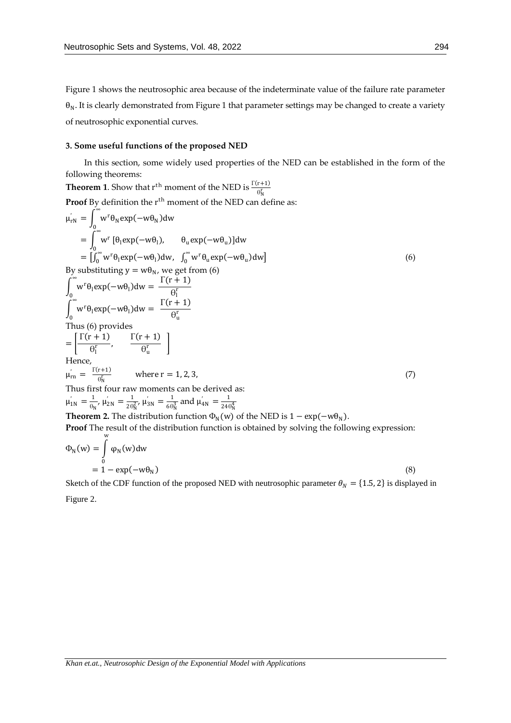Figure 1 shows the neutrosophic area because of the indeterminate value of the failure rate parameter  $\theta_N$ . It is clearly demonstrated from Figure 1 that parameter settings may be changed to create a variety of neutrosophic exponential curves.

## **3. Some useful functions of the proposed NED**

In this section, some widely used properties of the NED can be established in the form of the following theorems:

**Theorem 1.** Show that 
$$
r^{th}
$$
 moment of the NED is  $\frac{\Gamma(r+1)}{\Theta_N^r}$   
\n**Proof** By definition the  $r^{th}$  moment of the NED can define as:  
\n $\mu_{rN} = \int_0^\infty w^r \theta_N \exp(-w\theta_N) dw$   
\n $= \int_0^\infty w^r [\theta_1 \exp(-w\theta_1), \theta_u \exp(-w\theta_u)] dw$   
\n $= \int_0^\infty w^r \theta_1 \exp(-w\theta_1) dw, \int_0^\infty w^r \theta_u \exp(-w\theta_u) dw]$  (6)  
\nBy substituting  $y = w\theta_N$ , we get from (6)  
\n $\int_0^\infty w^r \theta_1 \exp(-w\theta_1) dw = \frac{\Gamma(r+1)}{\Theta_1^r}$   
\n $\int_0^\infty w^r \theta_1 \exp(-w\theta_1) dw = \frac{\Gamma(r+1)}{\Theta_1^r}$   
\nThus (6) provides  
\nThus (6) provides  
\n $= \left[\frac{\Gamma(r+1)}{\Theta_1^r}, \frac{\Gamma(r+1)}{\Theta_u^r}\right]$   
\nHence,  
\n $\mu_{rn} = \frac{\Gamma(r+1)}{\Theta_N^r} \text{ where } r = 1, 2, 3,$   
\nThus first four raw moments can be derived as:  
\n $\mu_{1N} = \frac{1}{\Theta_N} \mu_{2N} = \frac{1}{2\Theta_N^2} \mu_{3N} = \frac{1}{6\Theta_N^3} \text{ and } \mu_{4N} = \frac{1}{24\Theta_N^4}$   
\n**Theorem 2.** The distribution function  $\Phi_N(w)$  of the NED is  $1 - \exp(-w\theta_N)$ .  
\n**Proof** The result of the distribution function is obtained by solving the following expression:

$$
\Phi_{N}(w) = \int_{0}^{\infty} \varphi_{N}(w) dw
$$
  
= 1 - exp(-w\theta\_{N}) \t\t(8)

Sketch of the CDF function of the proposed NED with neutrosophic parameter  $\theta_N = \{1.5, 2\}$  is displayed in Figure 2.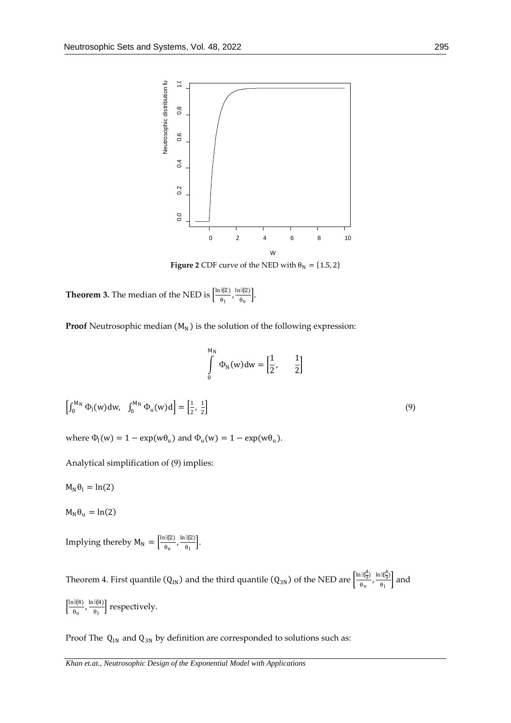

**Figure 2** CDF curve of the NED with  $\theta_N = \{1.5, 2\}$ 

**Theorem 3.** The median of the NED is  $\frac{\ln(\mathcal{L})}{\theta_1}$  $\frac{\ln(\ell)}{\theta_1}$ ,  $\frac{\ln(\ell)}{\theta_0}$  $\frac{\theta_{u}}{\theta_{u}}$ .

**Proof** Neutrosophic median  $(M_N)$  is the solution of the following expression:

$$
\int_{0}^{M_{\rm N}} \Phi_{\rm N}(\mathbf{w}) \mathrm{d}\mathbf{w} = \begin{bmatrix} \frac{1}{2}, & \frac{1}{2} \end{bmatrix}
$$

$$
\left[\int_0^{M_N} \Phi_1(w) dw, \quad \int_0^{M_N} \Phi_u(w) d\right] = \left[\frac{1}{2}, \frac{1}{2}\right]
$$
\n(9)

where  $\Phi_1(w) = 1 - \exp(w\theta_u)$  and  $\Phi_u(w) = 1 - \exp(w\theta_u)$ .

Analytical simplification of (9) implies:

 $M_N \theta_l = ln(2)$ 

 $M_{N} \theta_{\text{u}} = \ln(2)$ 

Implying thereby  $M_N = \left[\frac{\ln(\Re z)}{\theta_N}\right]$  $\frac{\ln(\ell Z)}{\theta_u}, \frac{\ln(\ell Z)}{\theta_l}$  $\frac{\partial f(x)}{\partial x}$ .

Theorem 4. First quantile (Q<sub>IN</sub>) and the third quantile (Q<sub>3N</sub>) of the NED are  $\frac{\ln(\vec{R}_3^4)}{\theta_n}$  $rac{\ln(\frac{4}{3})}{\theta_u}, \frac{\ln(\frac{4}{3})}{\theta_l}$  $\frac{\log 3}{\theta_1}$  and  $\frac{\ln(\mathcal{A})}{\theta}$  $\frac{\ln(\ell)}{\theta_u}, \frac{\ln(\ell)}{\theta_l}$  $\left[\frac{\mu}{\theta_1}\right]$  respectively.

Proof The  $Q_{IN}$  and  $Q_{3N}$  by definition are corresponded to solutions such as: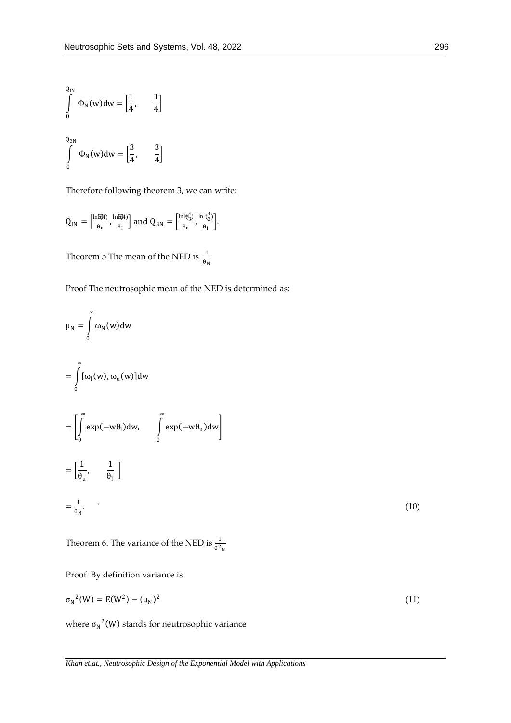$$
\int_{0}^{Q_{\text{IN}}} \Phi_{\text{N}}(w) dw = \left[\frac{1}{4}, \frac{1}{4}\right]
$$
\n
$$
\int_{0}^{Q_{\text{3N}}} \Phi_{\text{N}}(w) dw = \left[\frac{3}{4}, \frac{3}{4}\right]
$$

Therefore following theorem 3, we can write:

$$
Q_{IN}=\left[\tfrac{\ln\widetilde{\epsilon}\beta4}{\theta_u},\tfrac{\ln\widetilde{\epsilon}\beta4}{\theta_l}\right] \text{and } Q_{3N}=\left[\tfrac{\ln\widetilde{\epsilon}\xi_3^4}{\theta_u},\tfrac{\ln\widetilde{\epsilon}\xi_3^4}{\theta_l}\right].
$$

Theorem 5 The mean of the NED is  $\frac{1}{\theta_N}$ 

Proof The neutrosophic mean of the NED is determined as:

$$
\mu_{N} = \int_{0}^{\infty} \omega_{N}(w)dw
$$
  
\n
$$
= \int_{0}^{\infty} [\omega_{1}(w), \omega_{u}(w)]dw
$$
  
\n
$$
= \left[ \int_{0}^{\infty} \exp(-w\theta_{1})dw, \int_{0}^{\infty} \exp(-w\theta_{u})dw \right]
$$
  
\n
$$
= \left[ \frac{1}{\theta_{u}}, \frac{1}{\theta_{1}} \right]
$$
  
\n
$$
= \frac{1}{\theta_{N}}.
$$
 (10)

Theorem 6. The variance of the NED is  $\frac{1}{\theta^2 N}$ 

Proof By definition variance is

$$
\sigma_N^2(W) = E(W^2) - (\mu_N)^2 \tag{11}
$$

where  $\sigma_N^2$ (W) stands for neutrosophic variance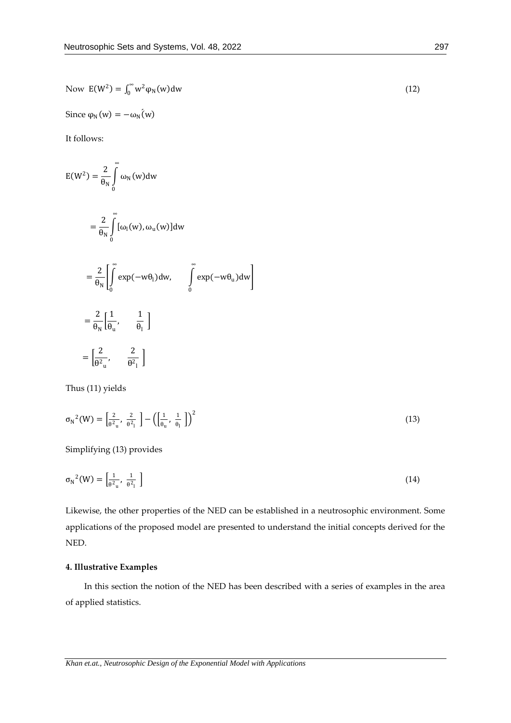Now 
$$
E(W^2) = \int_0^\infty w^2 \varphi_N(w) dw
$$
 (12)

Since  $\varphi_N(w) = -\omega_N(w)$ 

It follows:

$$
E(W^{2}) = \frac{2}{\theta_{N}} \int_{0}^{\infty} \omega_{N}(w)dw
$$
  
\n
$$
= \frac{2}{\theta_{N}} \int_{0}^{\infty} [\omega_{1}(w), \omega_{u}(w)]dw
$$
  
\n
$$
= \frac{2}{\theta_{N}} \left[ \int_{0}^{\infty} exp(-w\theta_{1})dw, \int_{0}^{\infty} exp(-w\theta_{u})dw \right]
$$
  
\n
$$
= \frac{2}{\theta_{N}} \left[ \frac{1}{\theta_{u}}, \frac{1}{\theta_{1}} \right]
$$
  
\n
$$
= \left[ \frac{2}{\theta^{2} \alpha}, \frac{2}{\theta^{2} \alpha} \right]
$$

Thus (11) yields

$$
\sigma_{\mathcal{N}}^2(\mathcal{W}) = \left[\frac{2}{\theta^2_{\mathbf{u}}}, \frac{2}{\theta^2_{\mathbf{l}}} \right] - \left(\left[\frac{1}{\theta_{\mathbf{u}}}, \frac{1}{\theta_{\mathbf{l}}} \right]\right)^2 \tag{13}
$$

Simplifying (13) provides

$$
\sigma_{\rm N}{}^2(\mathbf{W}) = \left[\frac{1}{\theta^2_{\rm u}}, \frac{1}{\theta^2_{\rm l}}\right] \tag{14}
$$

Likewise, the other properties of the NED can be established in a neutrosophic environment. Some applications of the proposed model are presented to understand the initial concepts derived for the NED.

## **4. Illustrative Examples**

In this section the notion of the NED has been described with a series of examples in the area of applied statistics.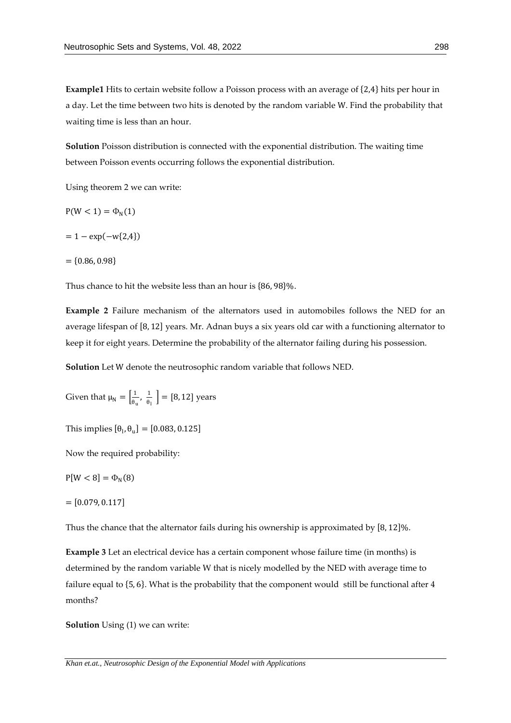**Example1** Hits to certain website follow a Poisson process with an average of {2,4} hits per hour in a day. Let the time between two hits is denoted by the random variable W. Find the probability that waiting time is less than an hour.

**Solution** Poisson distribution is connected with the exponential distribution. The waiting time between Poisson events occurring follows the exponential distribution.

Using theorem 2 we can write:

$$
P(W<1)=\Phi_N(1)
$$

$$
= 1 - \exp(-w\{2,4\})
$$

 $= \{0.86, 0.98\}$ 

Thus chance to hit the website less than an hour is {86, 98}%.

**Example 2** Failure mechanism of the alternators used in automobiles follows the NED for an average lifespan of [8, 12] years. Mr. Adnan buys a six years old car with a functioning alternator to keep it for eight years. Determine the probability of the alternator failing during his possession.

**Solution** Let W denote the neutrosophic random variable that follows NED.

Given that 
$$
\mu_N = \left[\frac{1}{\theta_u}, \frac{1}{\theta_l}\right] = [8, 12]
$$
 years

This implies  $[\theta_{\rm l}, \theta_{\rm u}] = [0.083, 0.125]$ 

Now the required probability:

$$
P[W < 8] = \Phi_N(8)
$$

 $= [0.079, 0.117]$ 

Thus the chance that the alternator fails during his ownership is approximated by [8, 12]%.

**Example 3** Let an electrical device has a certain component whose failure time (in months) is determined by the random variable W that is nicely modelled by the NED with average time to failure equal to {5, 6}. What is the probability that the component would still be functional after 4 months?

**Solution** Using (1) we can write:

*Khan et.at., Neutrosophic Design of the Exponential Model with Applications*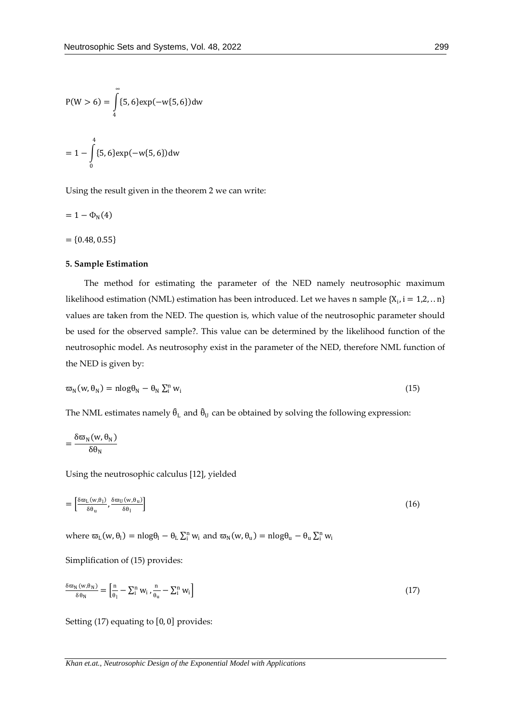$$
P(W > 6) = \int_{4}^{\infty} \{5, 6\} \exp(-w\{5, 6\}) dw
$$

$$
= 1 - \int_{0}^{4} \{5, 6\} \exp(-w\{5, 6\}) dw
$$

Using the result given in the theorem 2 we can write:

$$
=1-\Phi_{\rm N}(4)
$$

 $= \{0.48, 0.55\}$ 

#### **5. Sample Estimation**

The method for estimating the parameter of the NED namely neutrosophic maximum likelihood estimation (NML) estimation has been introduced. Let we haves n sample  $\{X_i, i = 1,2, \ldots n\}$ values are taken from the NED. The question is, which value of the neutrosophic parameter should be used for the observed sample?. This value can be determined by the likelihood function of the neutrosophic model. As neutrosophy exist in the parameter of the NED, therefore NML function of the NED is given by:

$$
\varpi_N(w, \theta_N) = n \log \theta_N - \theta_N \sum_i^N w_i \tag{15}
$$

The NML estimates namely  $\hat{\theta}_L$  and  $\hat{\theta}_U$  can be obtained by solving the following expression:

$$
=\frac{\delta\varpi_N(w,\theta_N)}{\delta\theta_N}
$$

Using the neutrosophic calculus [12], yielded

$$
= \left[\frac{\delta \varpi_{\mathrm{L}}(w,\theta_{\mathrm{l}})}{\delta \theta_{\mathrm{u}}}, \frac{\delta \varpi_{\mathrm{U}}(w,\theta_{\mathrm{u}})}{\delta \theta_{\mathrm{l}}}\right]
$$
(16)

where  $\varpi_L(w, \theta_l) = n \log \theta_l - \theta_L \sum_i^m w_i$  and  $\varpi_N(w, \theta_u) = n \log \theta_u - \theta_u \sum_i^m w_i$ 

Simplification of (15) provides:

$$
\frac{\delta \varpi_N(w, \theta_N)}{\delta \theta_N} = \left[ \frac{n}{\theta_1} - \sum_{i=1}^{n} w_i \right]_{\theta_u} - \sum_{i=1}^{n} w_i \right]
$$
\n(17)

Setting (17) equating to [0, 0] provides: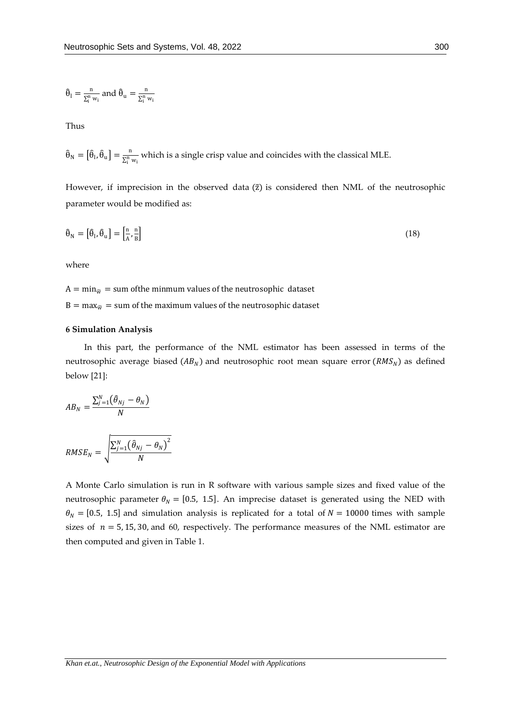$$
\boldsymbol{\hat{\theta}}_l = \tfrac{n}{\Sigma_i^n \, w_i} \, \text{and} \, \, \boldsymbol{\hat{\theta}}_u = \tfrac{n}{\Sigma_i^n \, w_i}
$$

Thus

 $\widehat{\theta}_N = \left[\widehat{\theta}_l, \widehat{\theta}_u\right] = \frac{n}{\sum_{i=1}^{N} w_i}$ which is a single crisp value and coincides with the classical MLE.

However, if imprecision in the observed data ( $\tilde{z}$ ) is considered then NML of the neutrosophic parameter would be modified as:

$$
\hat{\theta}_N = \left[\hat{\theta}_l, \hat{\theta}_u\right] = \left[\frac{n}{A}, \frac{n}{B}\right] \tag{18}
$$

where

 $A = min_{\tilde{w}} = sum$  of the minmum values of the neutrosophic dataset

 $B = \max_{\tilde{w}}$  = sum of the maximum values of the neutrosophic dataset

#### **6 Simulation Analysis**

In this part, the performance of the NML estimator has been assessed in terms of the neutrosophic average biased ( $AB_N$ ) and neutrosophic root mean square error ( $RMS_N$ ) as defined below [21]:

$$
AB_N = \frac{\sum_{j=1}^N (\widehat{\theta}_{Nj} - \theta_N)}{N}
$$

$$
RMSE_N = \sqrt{\frac{\sum_{j=1}^{N} (\hat{\theta}_{Nj} - \theta_N)^2}{N}}
$$

A Monte Carlo simulation is run in R software with various sample sizes and fixed value of the neutrosophic parameter  $\theta_N = [0.5, 1.5]$ . An imprecise dataset is generated using the NED with  $\theta_N = [0.5, 1.5]$  and simulation analysis is replicated for a total of  $N = 10000$  times with sample sizes of  $n = 5, 15, 30$ , and 60, respectively. The performance measures of the NML estimator are then computed and given in Table 1.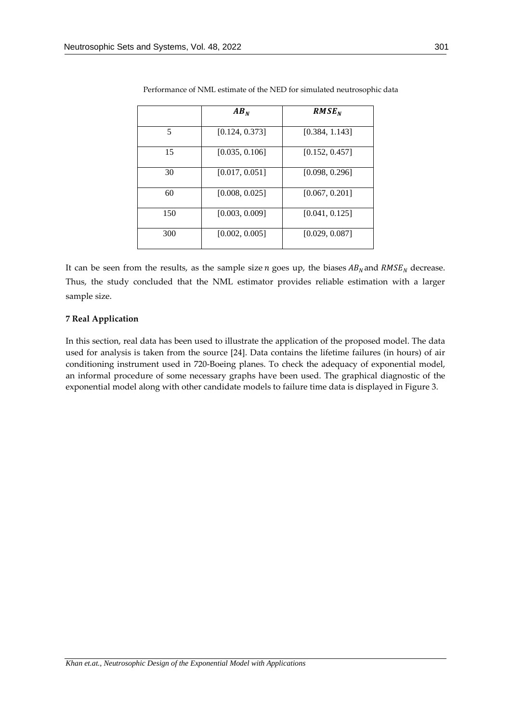|     | AB <sub>N</sub> | RMSE <sub>N</sub> |  |
|-----|-----------------|-------------------|--|
| 5   | [0.124, 0.373]  | [0.384, 1.143]    |  |
| 15  | [0.035, 0.106]  | [0.152, 0.457]    |  |
| 30  | [0.017, 0.051]  | [0.098, 0.296]    |  |
| 60  | [0.008, 0.025]  | [0.067, 0.201]    |  |
| 150 | [0.003, 0.009]  | [0.041, 0.125]    |  |
| 300 | [0.002, 0.005]  | [0.029, 0.087]    |  |

Performance of NML estimate of the NED for simulated neutrosophic data

It can be seen from the results, as the sample size  $n$  goes up, the biases  $AB_N$  and  $RMSE_N$  decrease. Thus, the study concluded that the NML estimator provides reliable estimation with a larger sample size.

## **7 Real Application**

In this section, real data has been used to illustrate the application of the proposed model. The data used for analysis is taken from the source [24]. Data contains the lifetime failures (in hours) of air conditioning instrument used in 720-Boeing planes. To check the adequacy of exponential model, an informal procedure of some necessary graphs have been used. The graphical diagnostic of the exponential model along with other candidate models to failure time data is displayed in Figure 3.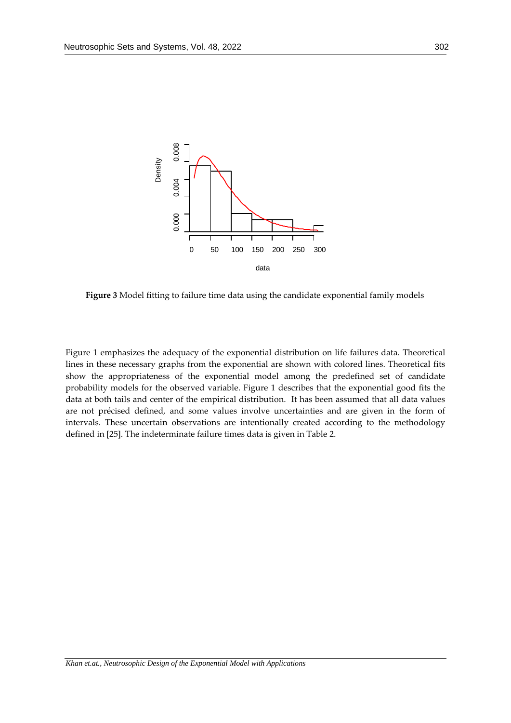

**Figure 3** Model fitting to failure time data using the candidate exponential family models

Figure 1 emphasizes the adequacy of the exponential distribution on life failures data. Theoretical lines in these necessary graphs from the exponential are shown with colored lines. Theoretical fits show the appropriateness of the exponential model among the predefined set of candidate probability models for the observed variable. Figure 1 describes that the exponential good fits the data at both tails and center of the empirical distribution. It has been assumed that all data values are not précised defined, and some values involve uncertainties and are given in the form of intervals. These uncertain observations are intentionally created according to the methodology defined in [25]. The indeterminate failure times data is given in Table 2.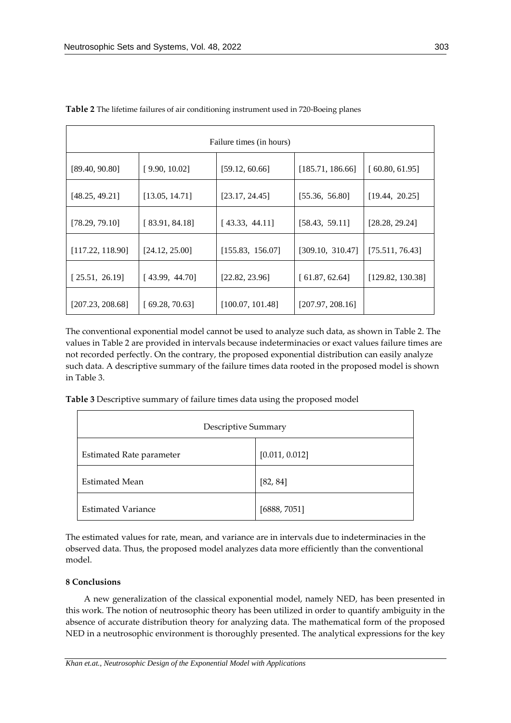| Failure times (in hours) |                |                  |                  |                  |  |
|--------------------------|----------------|------------------|------------------|------------------|--|
| [89.40, 90.80]           | [9.90, 10.02]  | [59.12, 60.66]   | [185.71, 186.66] | [60.80, 61.95]   |  |
| [48.25, 49.21]           | [13.05, 14.71] | [23.17, 24.45]   | [55.36, 56.80]   | [19.44, 20.25]   |  |
| [78.29, 79.10]           | [83.91, 84.18] | [43.33, 44.11]   | [58.43, 59.11]   | [28.28, 29.24]   |  |
| [117.22, 118.90]         | [24.12, 25.00] | [155.83, 156.07] | [309.10, 310.47] | [75.511, 76.43]  |  |
| [25.51, 26.19]           | [43.99, 44.70] | [22.82, 23.96]   | [61.87, 62.64]   | [129.82, 130.38] |  |
| [207.23, 208.68]         | [69.28, 70.63] | [100.07, 101.48] | [207.97, 208.16] |                  |  |

**Table 2** The lifetime failures of air conditioning instrument used in 720-Boeing planes

The conventional exponential model cannot be used to analyze such data, as shown in Table 2. The values in Table 2 are provided in intervals because indeterminacies or exact values failure times are not recorded perfectly. On the contrary, the proposed exponential distribution can easily analyze such data. A descriptive summary of the failure times data rooted in the proposed model is shown in Table 3.

**Table 3** Descriptive summary of failure times data using the proposed model

| Descriptive Summary             |                |  |  |
|---------------------------------|----------------|--|--|
| <b>Estimated Rate parameter</b> | [0.011, 0.012] |  |  |
| Estimated Mean                  | [82, 84]       |  |  |
| <b>Estimated Variance</b>       | [6888, 7051]   |  |  |

The estimated values for rate, mean, and variance are in intervals due to indeterminacies in the observed data. Thus, the proposed model analyzes data more efficiently than the conventional model.

# **8 Conclusions**

A new generalization of the classical exponential model, namely NED, has been presented in this work. The notion of neutrosophic theory has been utilized in order to quantify ambiguity in the absence of accurate distribution theory for analyzing data. The mathematical form of the proposed NED in a neutrosophic environment is thoroughly presented. The analytical expressions for the key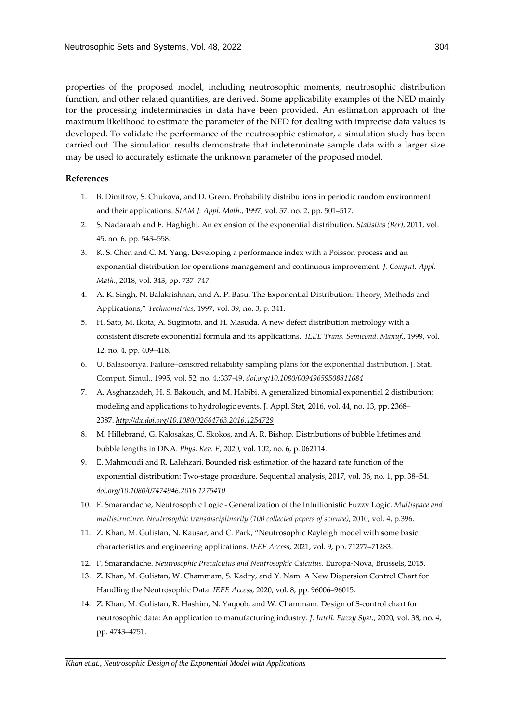properties of the proposed model, including neutrosophic moments, neutrosophic distribution function, and other related quantities, are derived. Some applicability examples of the NED mainly for the processing indeterminacies in data have been provided. An estimation approach of the maximum likelihood to estimate the parameter of the NED for dealing with imprecise data values is developed. To validate the performance of the neutrosophic estimator, a simulation study has been carried out. The simulation results demonstrate that indeterminate sample data with a larger size may be used to accurately estimate the unknown parameter of the proposed model.

#### **References**

- 1. B. Dimitrov, S. Chukova, and D. Green. Probability distributions in periodic random environment and their applications. *SIAM J. Appl. Math.*, 1997, vol. 57, no. 2, pp. 501–517.
- 2. S. Nadarajah and F. Haghighi. An extension of the exponential distribution. *Statistics (Ber)*, 2011, vol. 45, no. 6, pp. 543–558.
- 3. K. S. Chen and C. M. Yang. Developing a performance index with a Poisson process and an exponential distribution for operations management and continuous improvement. *J. Comput. Appl. Math.*, 2018, vol. 343, pp. 737–747.
- 4. A. K. Singh, N. Balakrishnan, and A. P. Basu. The Exponential Distribution: Theory, Methods and Applications," *Technometrics*, 1997, vol. 39, no. 3, p. 341.
- 5. H. Sato, M. Ikota, A. Sugimoto, and H. Masuda. A new defect distribution metrology with a consistent discrete exponential formula and its applications. *IEEE Trans. Semicond. Manuf.*, 1999, vol. 12, no. 4, pp. 409–418.
- 6. U. Balasooriya. Failure–censored reliability sampling plans for the exponential distribution. J. Stat. Comput. Simul., 1995, vol. 52, no. 4,:337-49. *doi.org/10.1080/00949659508811684*
- 7. A. Asgharzadeh, H. S. Bakouch, and M. Habibi. A generalized binomial exponential 2 distribution: modeling and applications to hydrologic events. J. Appl. Stat, 2016, vol. 44, no. 13, pp. 2368– 2387. *<http://dx.doi.org/10.1080/02664763.2016.1254729>*
- 8. M. Hillebrand, G. Kalosakas, C. Skokos, and A. R. Bishop. Distributions of bubble lifetimes and bubble lengths in DNA. *Phys. Rev. E*, 2020, vol. 102, no. 6, p. 062114.
- 9. E. Mahmoudi and R. Lalehzari. Bounded risk estimation of the hazard rate function of the exponential distribution: Two-stage procedure. Sequential analysis, 2017, vol. 36, no. 1, pp. 38–54. *doi.org/10.1080/07474946.2016.1275410*
- 10. F. Smarandache, Neutrosophic Logic Generalization of the Intuitionistic Fuzzy Logic. *Multispace and multistructure. Neutrosophic transdisciplinarity (100 collected papers of science)*, 2010, vol. 4, p.396.
- 11. Z. Khan, M. Gulistan, N. Kausar, and C. Park, "Neutrosophic Rayleigh model with some basic characteristics and engineering applications. *IEEE Access*, 2021, vol. 9, pp. 71277–71283.
- 12. F. Smarandache. *Neutrosophic Precalculus and Neutrosophic Calculus*. Europa-Nova, Brussels, 2015.
- 13. Z. Khan, M. Gulistan, W. Chammam, S. Kadry, and Y. Nam. A New Dispersion Control Chart for Handling the Neutrosophic Data. *IEEE Access*, 2020, vol. 8, pp. 96006–96015.
- 14. Z. Khan, M. Gulistan, R. Hashim, N. Yaqoob, and W. Chammam. Design of S-control chart for neutrosophic data: An application to manufacturing industry. *J. Intell. Fuzzy Syst.*, 2020, vol. 38, no. 4, pp. 4743–4751.